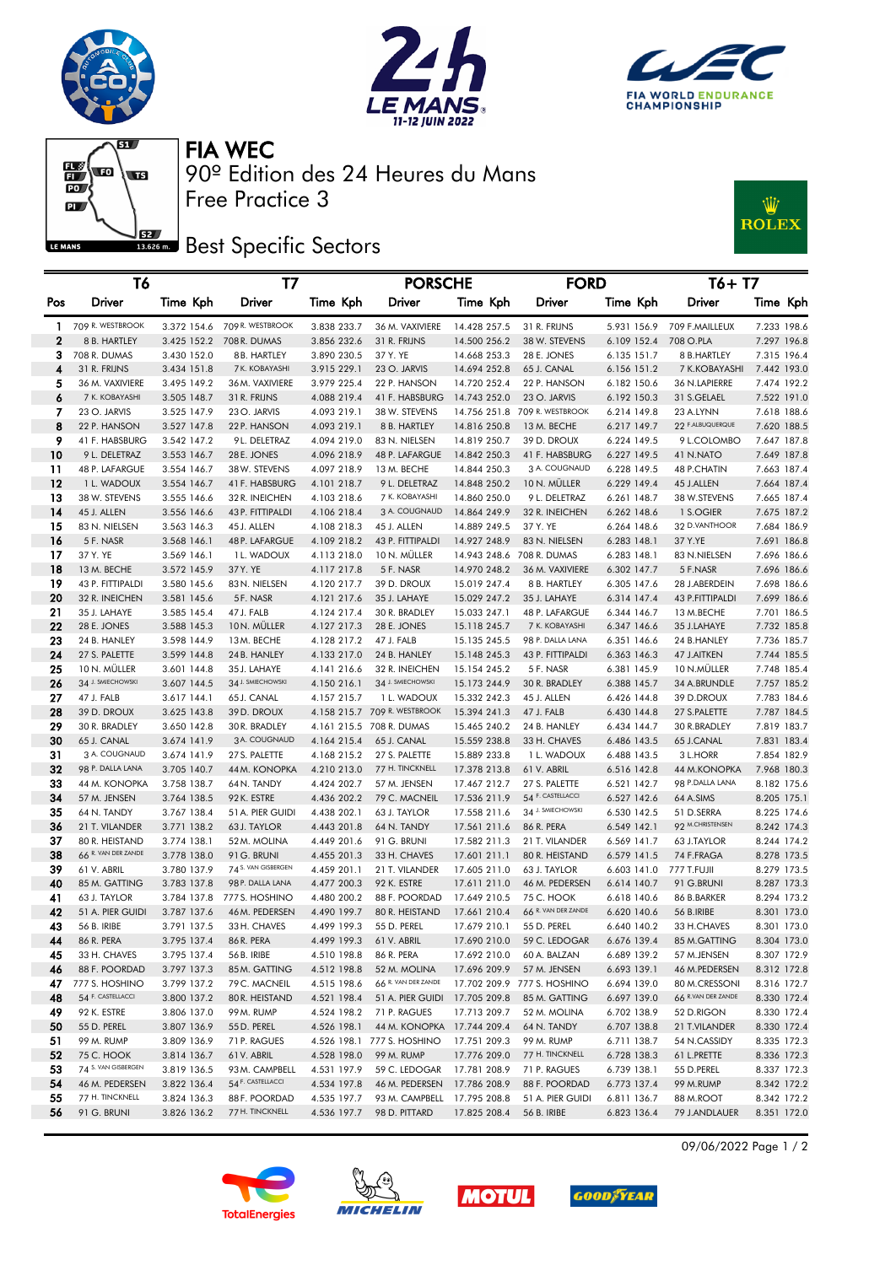







90º Edition des 24 Heures du Mans FIA WEC

**Best Specific Sectors** 

Free Practice 3



|     | T6                  |             | Т7                  |             | <b>PORSCHE</b>               |              | <b>FORD</b>                   |             | $T6+T7$             |             |  |
|-----|---------------------|-------------|---------------------|-------------|------------------------------|--------------|-------------------------------|-------------|---------------------|-------------|--|
| Pos | <b>Driver</b>       | Time Kph    | Driver              | Time Kph    | Driver                       | Time Kph     | Driver                        | Time Kph    | Driver              | Time Kph    |  |
| 1.  | 709 R. WESTBROOK    | 3.372 154.6 | 709 R. WESTBROOK    | 3.838 233.7 | 36 M. VAXIVIERE              | 14.428 257.5 | 31 R. FRIJNS                  | 5.931 156.9 | 709 F.MAILLEUX      | 7.233 198.6 |  |
| 2   | 8 B. HARTLEY        | 3.425 152.2 | 708 R. DUMAS        | 3.856 232.6 | 31 R. FRIJNS                 | 14.500 256.2 | 38 W. STEVENS                 | 6.109 152.4 | 708 O.PLA           | 7.297 196.8 |  |
| 3   | 708 R. DUMAS        | 3.430 152.0 | 8 B. HARTLEY        | 3.890 230.5 | 37 Y. YE                     | 14.668 253.3 | 28 E. JONES                   | 6.135 151.7 | 8 B.HARTLEY         | 7.315 196.4 |  |
| 4   | 31 R. FRIJNS        | 3.434 151.8 | 7 K. KOBAYASHI      | 3.915 229.1 | 23 O. JARVIS                 | 14.694 252.8 | 65 J. CANAL                   | 6.156 151.2 | 7 K.KOBAYASHI       | 7.442 193.0 |  |
| 5   | 36 M. VAXIVIERE     | 3.495 149.2 | 36 M. VAXIVIERE     | 3.979 225.4 | 22 P. HANSON                 | 14.720 252.4 | 22 P. HANSON                  | 6.182 150.6 | 36 N.LAPIERRE       | 7.474 192.2 |  |
| 6   | 7 K. KOBAYASHI      | 3.505 148.7 | 31 R. FRIJNS        | 4.088 219.4 | 41 F. HABSBURG               | 14.743 252.0 | 23 O. JARVIS                  | 6.192 150.3 | 31 S.GELAEL         | 7.522 191.0 |  |
| 7   | 23 O. JARVIS        | 3.525 147.9 | 23 O. JARVIS        | 4.093 219.1 | 38 W. STEVENS                |              | 14.756 251.8 709 R. WESTBROOK | 6.214 149.8 | 23 A.LYNN           | 7.618 188.6 |  |
| 8   | 22 P. HANSON        | 3.527 147.8 | 22 P. HANSON        | 4.093 219.1 | 8 B. HARTLEY                 | 14.816 250.8 | 13 M. BECHE                   | 6.217 149.7 | 22 F.ALBUQUERQUE    | 7.620 188.5 |  |
| 9   | 41 F. HABSBURG      | 3.542 147.2 | 9L. DELETRAZ        | 4.094 219.0 | 83 N. NIELSEN                | 14.819 250.7 | 39 D. DROUX                   | 6.224 149.5 | 9 L.COLOMBO         | 7.647 187.8 |  |
| 10  | 9 L. DELETRAZ       | 3.553 146.7 | 28 E. JONES         | 4.096 218.9 | 48 P. LAFARGUE               | 14.842 250.3 | 41 F. HABSBURG                | 6.227 149.5 | 41 N.NATO           | 7.649 187.8 |  |
| 11  | 48 P. LAFARGUE      | 3.554 146.7 | 38 W. STEVENS       | 4.097 218.9 | 13 M. BECHE                  | 14.844 250.3 | 3 A. COUGNAUD                 | 6.228 149.5 | 48 P.CHATIN         | 7.663 187.4 |  |
| 12  | 1 L. WADOUX         | 3.554 146.7 | 41 F. HABSBURG      | 4.101 218.7 | 9 L. DELETRAZ                | 14.848 250.2 | 10 N. MÜLLER                  | 6.229 149.4 | 45 J.ALLEN          | 7.664 187.4 |  |
| 13  | 38 W. STEVENS       | 3.555 146.6 | 32 R. INEICHEN      | 4.103 218.6 | 7 K. KOBAYASHI               | 14.860 250.0 | 9 L. DELETRAZ                 | 6.261 148.7 | 38 W.STEVENS        | 7.665 187.4 |  |
| 14  | 45 J. ALLEN         | 3.556 146.6 | 43 P. FITTIPALDI    | 4.106 218.4 | 3 A. COUGNAUD                | 14.864 249.9 | 32 R. INEICHEN                | 6.262 148.6 | 1 S.OGIER           | 7.675 187.2 |  |
| 15  | 83 N. NIELSEN       | 3.563 146.3 | 45 J. ALLEN         | 4.108 218.3 | 45 J. ALLEN                  | 14.889 249.5 | 37 Y. YE                      | 6.264 148.6 | 32 D.VANTHOOR       | 7.684 186.9 |  |
| 16  | 5 F. NASR           | 3.568 146.1 | 48 P. LAFARGUE      | 4.109 218.2 | 43 P. FITTIPALDI             | 14.927 248.9 | 83 N. NIELSEN                 | 6.283 148.1 | 37 Y.YE             | 7.691 186.8 |  |
| 17  | 37 Y. YE            | 3.569 146.1 | 1 L. WADOUX         | 4.113 218.0 | 10 N. MULLER                 |              | 14.943 248.6 708 R. DUMAS     | 6.283 148.1 | 83 N.NIELSEN        | 7.696 186.6 |  |
| 18  | 13 M. BECHE         | 3.572 145.9 | 37 Y. YE            | 4.117 217.8 | 5 F. NASR                    | 14.970 248.2 | 36 M. VAXIVIERE               | 6.302 147.7 | 5 F.NASR            | 7.696 186.6 |  |
| 19  | 43 P. FITTIPALDI    | 3.580 145.6 | 83 N. NIELSEN       | 4.120 217.7 | 39 D. DROUX                  | 15.019 247.4 | 8 B. HARTLEY                  | 6.305 147.6 | 28 J.ABERDEIN       | 7.698 186.6 |  |
| 20  | 32 R. INEICHEN      | 3.581 145.6 | 5F. NASR            | 4.121 217.6 | 35 J. LAHAYE                 | 15.029 247.2 | 35 J. LAHAYE                  | 6.314 147.4 | 43 P.FITTIPALDI     | 7.699 186.6 |  |
| 21  | 35 J. LAHAYE        | 3.585 145.4 | 47 J. FALB          | 4.124 217.4 | 30 R. BRADLEY                | 15.033 247.1 | 48 P. LAFARGUE                | 6.344 146.7 | 13 M.BECHE          | 7.701 186.5 |  |
| 22  | 28 E. JONES         | 3.588 145.3 | 10N. MÜLLER         | 4.127 217.3 | 28 E. JONES                  | 15.118 245.7 | 7 K. KOBAYASHI                | 6.347 146.6 | 35 J.LAHAYE         | 7.732 185.8 |  |
| 23  | 24 B. HANLEY        | 3.598 144.9 | 13M. BECHE          | 4.128 217.2 | 47 J. FALB                   | 15.135 245.5 | 98 P. DALLA LANA              | 6.351 146.6 | 24 B.HANLEY         | 7.736 185.7 |  |
| 24  | 27 S. PALETTE       | 3.599 144.8 | 24 B. HANLEY        | 4.133 217.0 | 24 B. HANLEY                 | 15.148 245.3 | 43 P. FITTIPALDI              | 6.363 146.3 | 47 J.AITKEN         | 7.744 185.5 |  |
| 25  | 10 N. MÜLLER        | 3.601 144.8 | 35 J. LAHAYE        | 4.141 216.6 | 32 R. INEICHEN               | 15.154 245.2 | 5 F. NASR                     | 6.381 145.9 | 10 N.MÜLLER         | 7.748 185.4 |  |
| 26  | 34 J. SMIECHOWSKI   | 3.607 144.5 | 34 J. SMIECHOWSKI   | 4.150 216.1 | 34 J. SMIECHOWSKI            | 15.173 244.9 | 30 R. BRADLEY                 | 6.388 145.7 | 34 A.BRUNDLE        | 7.757 185.2 |  |
| 27  | 47 J. FALB          | 3.617 144.1 | 65 J. CANAL         | 4.157 215.7 | 1 L. WADOUX                  | 15.332 242.3 | 45 J. ALLEN                   | 6.426 144.8 | 39 D.DROUX          | 7.783 184.6 |  |
| 28  | 39 D. DROUX         | 3.625 143.8 | 39 D. DROUX         |             | 4.158 215.7 709 R. WESTBROOK | 15.394 241.3 | 47 J. FALB                    | 6.430 144.8 | 27 S.PALETTE        | 7.787 184.5 |  |
| 29  | 30 R. BRADLEY       | 3.650 142.8 | 30 R. BRADLEY       |             | 4.161 215.5 708 R. DUMAS     | 15.465 240.2 | 24 B. HANLEY                  | 6.434 144.7 | 30 R.BRADLEY        | 7.819 183.7 |  |
| 30  | 65 J. CANAL         | 3.674 141.9 | 3 A. COUGNAUD       | 4.164 215.4 | 65 J. CANAL                  | 15.559 238.8 | 33 H. CHAVES                  | 6.486 143.5 | 65 J.CANAL          | 7.831 183.4 |  |
| 31  | 3 A. COUGNAUD       | 3.674 141.9 | 27 S. PALETTE       | 4.168 215.2 | 27 S. PALETTE                | 15.889 233.8 | 1 L. WADOUX                   | 6.488 143.5 | 3 L.HORR            | 7.854 182.9 |  |
| 32  | 98 P. DALLA LANA    | 3.705 140.7 | 44 M. KONOPKA       | 4.210 213.0 | 77 H. TINCKNELL              | 17.378 213.8 | 61 V. ABRIL                   | 6.516 142.8 | <b>44 M.KONOPKA</b> | 7.968 180.3 |  |
| 33  | 44 M. KONOPKA       | 3.758 138.7 | 64 N. TANDY         | 4.424 202.7 | 57 M. JENSEN                 | 17.467 212.7 | 27 S. PALETTE                 | 6.521 142.7 | 98 P.DALLA LANA     | 8.182 175.6 |  |
| 34  | 57 M. JENSEN        | 3.764 138.5 | 92 K. ESTRE         | 4.436 202.2 | 79 C. MACNEIL                | 17.536 211.9 | 54 F. CASTELLACCI             | 6.527 142.6 | 64 A.SIMS           | 8.205 175.1 |  |
| 35  | 64 N. TANDY         | 3.767 138.4 | 51 A. PIER GUIDI    | 4.438 202.1 | 63 J. TAYLOR                 | 17.558 211.6 | 34 J. SMIECHOWSKI             | 6.530 142.5 | 51 D.SERRA          | 8.225 174.6 |  |
| 36  | 21 T. VILANDER      | 3.771 138.2 | 63 J. TAYLOR        | 4.443 201.8 | 64 N. TANDY                  | 17.561 211.6 | 86 R. PERA                    | 6.549 142.1 | 92 M.CHRISTENSEN    | 8.242 174.3 |  |
| 37  | 80 R. HEISTAND      | 3.774 138.1 | 52 M. MOLINA        | 4.449 201.6 | 91 G. BRUNI                  | 17.582 211.3 | 21 T. VILANDER                | 6.569 141.7 | 63 J.TAYLOR         | 8.244 174.2 |  |
| 38  | 66 R. VAN DER ZANDE | 3.778 138.0 | 91 G. BRUNI         | 4.455 201.3 | 33 H. CHAVES                 | 17.601 211.1 | 80 R. HEISTAND                | 6.579 141.5 | 74 F.FRAGA          | 8.278 173.5 |  |
| 39  | 61 V. ABRIL         | 3.780 137.9 | 74 S. VAN GISBERGEN | 4.459 201.1 | 21 T. VILANDER               | 17.605 211.0 | 63 J. TAYLOR                  | 6.603 141.0 | 777 T.FUJII         | 8.279 173.5 |  |
| 40  | 85 M. GATTING       | 3.783 137.8 | 98 P. DALLA LANA    | 4.477 200.3 | 92 K. ESTRE                  | 17.611 211.0 | 46 M. PEDERSEN                | 6.614 140.7 | 91 G.BRUNI          | 8.287 173.3 |  |
| 41  | 63 J. TAYLOR        | 3.784 137.8 | 777 S. HOSHINO      | 4.480 200.2 | 88 F. POORDAD                | 17.649 210.5 | <b>75 C. HOOK</b>             | 6.618 140.6 | 86 B.BARKER         | 8.294 173.2 |  |
| 42  | 51 A. PIER GUIDI    | 3.787 137.6 | 46 M. PEDERSEN      | 4.490 199.7 | 80 R. HEISTAND               | 17.661 210.4 | 66 R. VAN DER ZANDE           | 6.620 140.6 | 56 B.IRIBE          | 8.301 173.0 |  |
| 43  | 56 B. IRIBE         | 3.791 137.5 | 33 H. CHAVES        | 4.499 199.3 | 55 D. PEREL                  | 17.679 210.1 | 55 D. PEREL                   | 6.640 140.2 | 33 H.CHAVES         | 8.301 173.0 |  |
|     | 86 R. PERA          | 3.795 137.4 | 86 R. PERA          | 4.499 199.3 | 61 V. ABRIL                  | 17.690 210.0 | 59 C. LEDOGAR                 | 6.676 139.4 | 85 M.GATTING        | 8.304 173.0 |  |
| 45  | 33 H. CHAVES        | 3.795 137.4 | 56 B. IRIBE         | 4.510 198.8 | 86 R. PERA                   | 17.692 210.0 | 60 A. BALZAN                  | 6.689 139.2 | 57 M.JENSEN         | 8.307 172.9 |  |
| 46  | 88 F. POORDAD       | 3.797 137.3 | 85 M. GATTING       | 4.512 198.8 | 52 M. MOLINA                 | 17.696 209.9 | 57 M. JENSEN                  | 6.693 139.1 | 46 M.PEDERSEN       | 8.312 172.8 |  |
| 47  | 777 S. HOSHINO      | 3.799 137.2 | 79 C. MACNEIL       | 4.515 198.6 | 66 R. VAN DER ZANDE          |              | 17.702 209.9 777 S. HOSHINO   | 6.694 139.0 | 80 M.CRESSONI       | 8.316 172.7 |  |
| 48  | 54 F. CASTELLACCI   | 3.800 137.2 | 80 R. HEISTAND      | 4.521 198.4 | 51 A. PIER GUIDI             | 17.705 209.8 | 85 M. GATTING                 | 6.697 139.0 | 66 R.VAN DER ZANDE  | 8.330 172.4 |  |
| 49  | 92 K. ESTRE         | 3.806 137.0 | 99 M. RUMP          | 4.524 198.2 | 71 P. RAGUES                 | 17.713 209.7 | 52 M. MOLINA                  | 6.702 138.9 | 52 D.RIGON          | 8.330 172.4 |  |
| 50  | 55 D. PEREL         | 3.807 136.9 | 55 D. PEREL         | 4.526 198.1 | 44 M. KONOPKA 17.744 209.4   |              | 64 N. TANDY                   | 6.707 138.8 | 21 T.VILANDER       | 8.330 172.4 |  |
| 51  | 99 M. RUMP          | 3.809 136.9 | 71 P. RAGUES        | 4.526 198.1 | 777 S. HOSHINO               | 17.751 209.3 | 99 M. RUMP                    | 6.711 138.7 | 54 N.CASSIDY        | 8.335 172.3 |  |
| 52  | 75 C. HOOK          | 3.814 136.7 | 61V. ABRIL          | 4.528 198.0 | 99 M. RUMP                   | 17.776 209.0 | 77 H. TINCKNELL               | 6.728 138.3 | 61 L.PRETTE         | 8.336 172.3 |  |
| 53  | 74 S. VAN GISBERGEN | 3.819 136.5 | 93 M. CAMPBELL      | 4.531 197.9 | 59 C. LEDOGAR                | 17.781 208.9 | 71 P. RAGUES                  | 6.739 138.1 | 55 D.PEREL          | 8.337 172.3 |  |
| 54  | 46 M. PEDERSEN      | 3.822 136.4 | 54 F. CASTELLACCI   | 4.534 197.8 | 46 M. PEDERSEN               | 17.786 208.9 | 88 F. POORDAD                 | 6.773 137.4 | 99 M.RUMP           | 8.342 172.2 |  |
| 55  | 77 H. TINCKNELL     | 3.824 136.3 | 88 F. POORDAD       | 4.535 197.7 | 93 M. CAMPBELL               | 17.795 208.8 | 51 A. PIER GUIDI              | 6.811 136.7 | 88 M.ROOT           | 8.342 172.2 |  |
| 56  | 91 G. BRUNI         | 3.826 136.2 | 77 H. TINCKNELL     | 4.536 197.7 | 98 D. PITTARD                | 17.825 208.4 | 56 B. IRIBE                   | 6.823 136.4 | 79 J.ANDLAUER       | 8.351 172.0 |  |







**GOOD**FYEAR